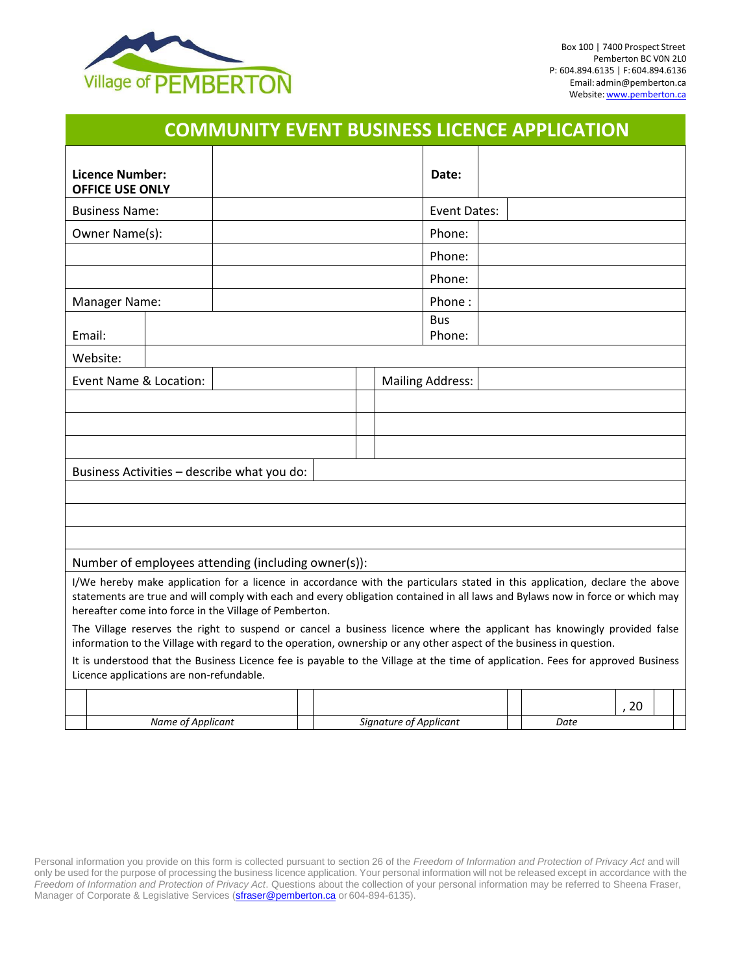

|                                                                                                                                                                                                                                                                                                                        |          |                                          |                                                     |  |  |                     |                        |                         |  |  | <b>COMMUNITY EVENT BUSINESS LICENCE APPLICATION</b>                                                                                                                                                                                            |      |  |
|------------------------------------------------------------------------------------------------------------------------------------------------------------------------------------------------------------------------------------------------------------------------------------------------------------------------|----------|------------------------------------------|-----------------------------------------------------|--|--|---------------------|------------------------|-------------------------|--|--|------------------------------------------------------------------------------------------------------------------------------------------------------------------------------------------------------------------------------------------------|------|--|
| Licence Number:<br><b>OFFICE USE ONLY</b>                                                                                                                                                                                                                                                                              |          |                                          |                                                     |  |  | Date:               |                        |                         |  |  |                                                                                                                                                                                                                                                |      |  |
| <b>Business Name:</b>                                                                                                                                                                                                                                                                                                  |          |                                          |                                                     |  |  | <b>Event Dates:</b> |                        |                         |  |  |                                                                                                                                                                                                                                                |      |  |
| Owner Name(s):                                                                                                                                                                                                                                                                                                         |          |                                          |                                                     |  |  | Phone:              |                        |                         |  |  |                                                                                                                                                                                                                                                |      |  |
|                                                                                                                                                                                                                                                                                                                        |          |                                          |                                                     |  |  | Phone:              |                        |                         |  |  |                                                                                                                                                                                                                                                |      |  |
|                                                                                                                                                                                                                                                                                                                        |          |                                          |                                                     |  |  |                     |                        | Phone:                  |  |  |                                                                                                                                                                                                                                                |      |  |
| Manager Name:                                                                                                                                                                                                                                                                                                          |          |                                          |                                                     |  |  | Phone:              |                        |                         |  |  |                                                                                                                                                                                                                                                |      |  |
| Email:                                                                                                                                                                                                                                                                                                                 |          |                                          |                                                     |  |  |                     |                        | <b>Bus</b><br>Phone:    |  |  |                                                                                                                                                                                                                                                |      |  |
|                                                                                                                                                                                                                                                                                                                        | Website: |                                          |                                                     |  |  |                     |                        |                         |  |  |                                                                                                                                                                                                                                                |      |  |
|                                                                                                                                                                                                                                                                                                                        |          | Event Name & Location:                   |                                                     |  |  |                     |                        | <b>Mailing Address:</b> |  |  |                                                                                                                                                                                                                                                |      |  |
|                                                                                                                                                                                                                                                                                                                        |          |                                          |                                                     |  |  |                     |                        |                         |  |  |                                                                                                                                                                                                                                                |      |  |
|                                                                                                                                                                                                                                                                                                                        |          |                                          |                                                     |  |  |                     |                        |                         |  |  |                                                                                                                                                                                                                                                |      |  |
|                                                                                                                                                                                                                                                                                                                        |          |                                          |                                                     |  |  |                     |                        |                         |  |  |                                                                                                                                                                                                                                                |      |  |
|                                                                                                                                                                                                                                                                                                                        |          |                                          | Business Activities - describe what you do:         |  |  |                     |                        |                         |  |  |                                                                                                                                                                                                                                                |      |  |
|                                                                                                                                                                                                                                                                                                                        |          |                                          |                                                     |  |  |                     |                        |                         |  |  |                                                                                                                                                                                                                                                |      |  |
|                                                                                                                                                                                                                                                                                                                        |          |                                          |                                                     |  |  |                     |                        |                         |  |  |                                                                                                                                                                                                                                                |      |  |
|                                                                                                                                                                                                                                                                                                                        |          |                                          |                                                     |  |  |                     |                        |                         |  |  |                                                                                                                                                                                                                                                |      |  |
|                                                                                                                                                                                                                                                                                                                        |          |                                          | Number of employees attending (including owner(s)): |  |  |                     |                        |                         |  |  |                                                                                                                                                                                                                                                |      |  |
| I/We hereby make application for a licence in accordance with the particulars stated in this application, declare the above<br>statements are true and will comply with each and every obligation contained in all laws and Bylaws now in force or which may<br>hereafter come into force in the Village of Pemberton. |          |                                          |                                                     |  |  |                     |                        |                         |  |  |                                                                                                                                                                                                                                                |      |  |
|                                                                                                                                                                                                                                                                                                                        |          |                                          |                                                     |  |  |                     |                        |                         |  |  | The Village reserves the right to suspend or cancel a business licence where the applicant has knowingly provided false<br>information to the Village with regard to the operation, ownership or any other aspect of the business in question. |      |  |
|                                                                                                                                                                                                                                                                                                                        |          | Licence applications are non-refundable. |                                                     |  |  |                     |                        |                         |  |  | It is understood that the Business Licence fee is payable to the Village at the time of application. Fees for approved Business                                                                                                                |      |  |
|                                                                                                                                                                                                                                                                                                                        |          |                                          |                                                     |  |  |                     |                        |                         |  |  |                                                                                                                                                                                                                                                | , 20 |  |
|                                                                                                                                                                                                                                                                                                                        |          | Name of Applicant                        |                                                     |  |  |                     | Signature of Applicant |                         |  |  | Date                                                                                                                                                                                                                                           |      |  |

Personal information you provide on this form is collected pursuant to section 26 of the *Freedom of Information and Protection of Privacy Act* and will only be used for the purpose of processing the business licence application. Your personal information will not be released except in accordance with the *Freedom of Information and Protection of Privacy Act*. Questions about the collection of your personal information may be referred to Sheena Fraser, Manager of Corporate & Legislative Services (**sfraser@p[emberton.ca](mailto:sfraser@pemberton.ca)** or 604-894-6135).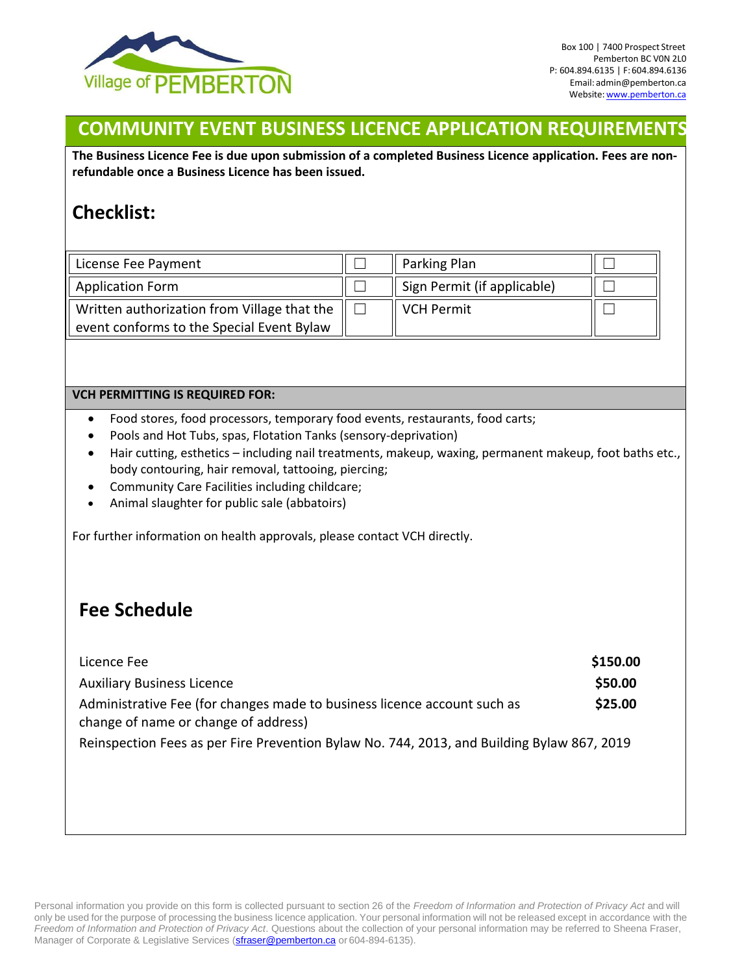

## **COMMUNITY EVENT BUSINESS LICENCE APPLICATION REQUIREMENTS**

**The Business Licence Fee is due upon submission of a completed Business Licence application. Fees are nonrefundable once a Business Licence has been issued.**

## **Checklist:**

| License Fee Payment                                                                      | Parking Plan                |  |
|------------------------------------------------------------------------------------------|-----------------------------|--|
| <b>Application Form</b>                                                                  | Sign Permit (if applicable) |  |
| Written authorization from Village that the<br>event conforms to the Special Event Bylaw | <b>VCH Permit</b>           |  |

## **VCH PERMITTING IS REQUIRED FOR:**

- Food stores, food processors, temporary food events, restaurants, food carts;
- Pools and Hot Tubs, spas, Flotation Tanks (sensory-deprivation)
- Hair cutting, esthetics including nail treatments, makeup, waxing, permanent makeup, foot baths etc., body contouring, hair removal, tattooing, piercing;
- Community Care Facilities including childcare;
- Animal slaughter for public sale (abbatoirs)

For further information on health approvals, please contact VCH directly.

## **Fee Schedule**

| Licence Fee                                                                                                      | \$150.00 |
|------------------------------------------------------------------------------------------------------------------|----------|
| <b>Auxiliary Business Licence</b>                                                                                | \$50.00  |
| Administrative Fee (for changes made to business licence account such as<br>change of name or change of address) | \$25.00  |
| Reinspection Fees as per Fire Prevention Bylaw No. 744, 2013, and Building Bylaw 867, 2019                       |          |

Personal information you provide on this form is collected pursuant to section 26 of the *Freedom of Information and Protection of Privacy Act* and will only be used for the purpose of processing the business licence application. Your personal information will not be released except in accordance with the *Freedom of Information and Protection of Privacy Act*. Questions about the collection of your personal information may be referred to Sheena Fraser, Manager of Corporate & Legislative Services (straser@p[emberton.ca](mailto:sfraser@pemberton.ca) or 604-894-6135).